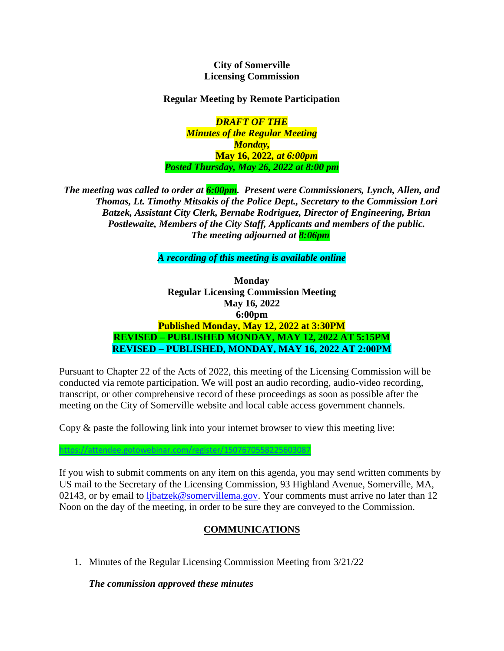#### **City of Somerville Licensing Commission**

#### **Regular Meeting by Remote Participation**

*DRAFT OF THE Minutes of the Regular Meeting Monday,*  **May 16, 2022***, at 6:00pm Posted Thursday, May 26, 2022 at 8:00 pm* 

*The meeting was called to order at 6:00pm. Present were Commissioners, Lynch, Allen, and Thomas, Lt. Timothy Mitsakis of the Police Dept., Secretary to the Commission Lori Batzek, Assistant City Clerk, Bernabe Rodriguez, Director of Engineering, Brian Postlewaite, Members of the City Staff, Applicants and members of the public. The meeting adjourned at 8:06pm*

*A recording of this meeting is available online* 

**Monday Regular Licensing Commission Meeting May 16, 2022 6:00pm Published Monday, May 12, 2022 at 3:30PM REVISED – PUBLISHED MONDAY, MAY 12, 2022 AT 5:15PM REVISED – PUBLISHED, MONDAY, MAY 16, 2022 AT 2:00PM**

Pursuant to Chapter 22 of the Acts of 2022, this meeting of the Licensing Commission will be conducted via remote participation. We will post an audio recording, audio-video recording, transcript, or other comprehensive record of these proceedings as soon as possible after the meeting on the City of Somerville website and local cable access government channels.

Copy & paste the following link into your internet browser to view this meeting live:

If you wish to submit comments on any item on this agenda, you may send written comments by US mail to the Secretary of the Licensing Commission, 93 Highland Avenue, Somerville, MA, 02143, or by email to [ljbatzek@somervillema.gov.](mailto:ljbatzek@somervillema.gov) Your comments must arrive no later than 12 Noon on the day of the meeting, in order to be sure they are conveyed to the Commission.

### **COMMUNICATIONS**

1. Minutes of the Regular Licensing Commission Meeting from 3/21/22

*The commission approved these minutes*

<https://attendee.gotowebinar.com/register/1507670558225603087>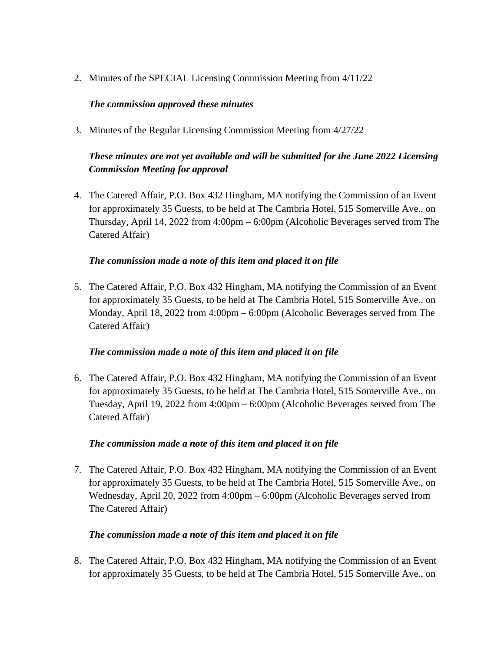2. Minutes of the SPECIAL Licensing Commission Meeting from 4/11/22

### *The commission approved these minutes*

3. Minutes of the Regular Licensing Commission Meeting from 4/27/22

# *These minutes are not yet available and will be submitted for the June 2022 Licensing Commission Meeting for approval*

4. The Catered Affair, P.O. Box 432 Hingham, MA notifying the Commission of an Event for approximately 35 Guests, to be held at The Cambria Hotel, 515 Somerville Ave., on Thursday, April 14, 2022 from 4:00pm – 6:00pm (Alcoholic Beverages served from The Catered Affair)

### *The commission made a note of this item and placed it on file*

5. The Catered Affair, P.O. Box 432 Hingham, MA notifying the Commission of an Event for approximately 35 Guests, to be held at The Cambria Hotel, 515 Somerville Ave., on Monday, April 18, 2022 from 4:00pm – 6:00pm (Alcoholic Beverages served from The Catered Affair)

#### *The commission made a note of this item and placed it on file*

6. The Catered Affair, P.O. Box 432 Hingham, MA notifying the Commission of an Event for approximately 35 Guests, to be held at The Cambria Hotel, 515 Somerville Ave., on Tuesday, April 19, 2022 from 4:00pm – 6:00pm (Alcoholic Beverages served from The Catered Affair)

### *The commission made a note of this item and placed it on file*

7. The Catered Affair, P.O. Box 432 Hingham, MA notifying the Commission of an Event for approximately 35 Guests, to be held at The Cambria Hotel, 515 Somerville Ave., on Wednesday, April 20, 2022 from 4:00pm – 6:00pm (Alcoholic Beverages served from The Catered Affair)

### *The commission made a note of this item and placed it on file*

8. The Catered Affair, P.O. Box 432 Hingham, MA notifying the Commission of an Event for approximately 35 Guests, to be held at The Cambria Hotel, 515 Somerville Ave., on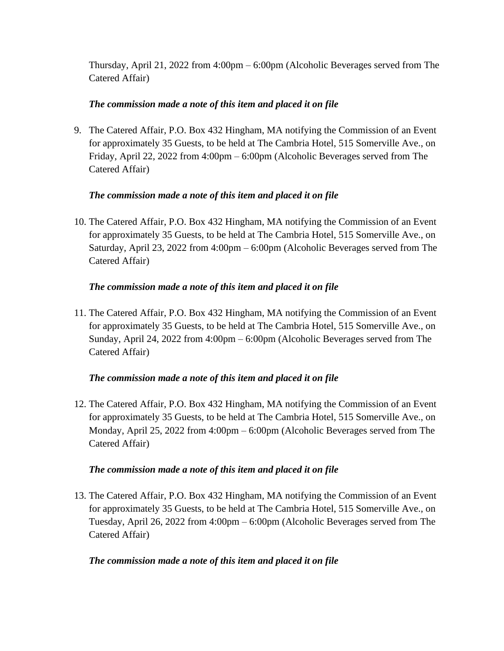Thursday, April 21, 2022 from 4:00pm – 6:00pm (Alcoholic Beverages served from The Catered Affair)

## *The commission made a note of this item and placed it on file*

9. The Catered Affair, P.O. Box 432 Hingham, MA notifying the Commission of an Event for approximately 35 Guests, to be held at The Cambria Hotel, 515 Somerville Ave., on Friday, April 22, 2022 from 4:00pm – 6:00pm (Alcoholic Beverages served from The Catered Affair)

## *The commission made a note of this item and placed it on file*

10. The Catered Affair, P.O. Box 432 Hingham, MA notifying the Commission of an Event for approximately 35 Guests, to be held at The Cambria Hotel, 515 Somerville Ave., on Saturday, April 23, 2022 from 4:00pm – 6:00pm (Alcoholic Beverages served from The Catered Affair)

## *The commission made a note of this item and placed it on file*

11. The Catered Affair, P.O. Box 432 Hingham, MA notifying the Commission of an Event for approximately 35 Guests, to be held at The Cambria Hotel, 515 Somerville Ave., on Sunday, April 24, 2022 from 4:00pm – 6:00pm (Alcoholic Beverages served from The Catered Affair)

# *The commission made a note of this item and placed it on file*

12. The Catered Affair, P.O. Box 432 Hingham, MA notifying the Commission of an Event for approximately 35 Guests, to be held at The Cambria Hotel, 515 Somerville Ave., on Monday, April 25, 2022 from 4:00pm – 6:00pm (Alcoholic Beverages served from The Catered Affair)

### *The commission made a note of this item and placed it on file*

13. The Catered Affair, P.O. Box 432 Hingham, MA notifying the Commission of an Event for approximately 35 Guests, to be held at The Cambria Hotel, 515 Somerville Ave., on Tuesday, April 26, 2022 from 4:00pm – 6:00pm (Alcoholic Beverages served from The Catered Affair)

### *The commission made a note of this item and placed it on file*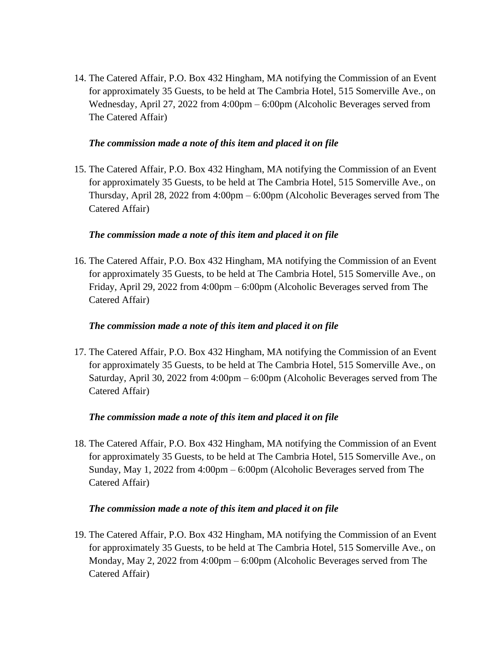14. The Catered Affair, P.O. Box 432 Hingham, MA notifying the Commission of an Event for approximately 35 Guests, to be held at The Cambria Hotel, 515 Somerville Ave., on Wednesday, April 27, 2022 from 4:00pm – 6:00pm (Alcoholic Beverages served from The Catered Affair)

#### *The commission made a note of this item and placed it on file*

15. The Catered Affair, P.O. Box 432 Hingham, MA notifying the Commission of an Event for approximately 35 Guests, to be held at The Cambria Hotel, 515 Somerville Ave., on Thursday, April 28, 2022 from 4:00pm – 6:00pm (Alcoholic Beverages served from The Catered Affair)

### *The commission made a note of this item and placed it on file*

16. The Catered Affair, P.O. Box 432 Hingham, MA notifying the Commission of an Event for approximately 35 Guests, to be held at The Cambria Hotel, 515 Somerville Ave., on Friday, April 29, 2022 from 4:00pm – 6:00pm (Alcoholic Beverages served from The Catered Affair)

### *The commission made a note of this item and placed it on file*

17. The Catered Affair, P.O. Box 432 Hingham, MA notifying the Commission of an Event for approximately 35 Guests, to be held at The Cambria Hotel, 515 Somerville Ave., on Saturday, April 30, 2022 from 4:00pm – 6:00pm (Alcoholic Beverages served from The Catered Affair)

### *The commission made a note of this item and placed it on file*

18. The Catered Affair, P.O. Box 432 Hingham, MA notifying the Commission of an Event for approximately 35 Guests, to be held at The Cambria Hotel, 515 Somerville Ave., on Sunday, May 1, 2022 from 4:00pm – 6:00pm (Alcoholic Beverages served from The Catered Affair)

#### *The commission made a note of this item and placed it on file*

19. The Catered Affair, P.O. Box 432 Hingham, MA notifying the Commission of an Event for approximately 35 Guests, to be held at The Cambria Hotel, 515 Somerville Ave., on Monday, May 2, 2022 from 4:00pm – 6:00pm (Alcoholic Beverages served from The Catered Affair)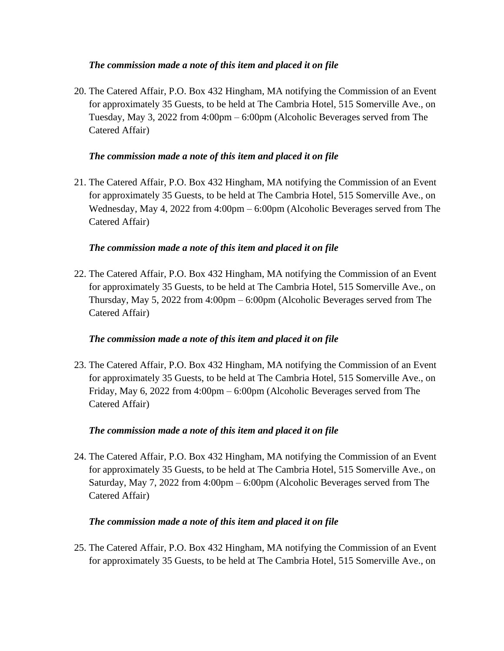### *The commission made a note of this item and placed it on file*

20. The Catered Affair, P.O. Box 432 Hingham, MA notifying the Commission of an Event for approximately 35 Guests, to be held at The Cambria Hotel, 515 Somerville Ave., on Tuesday, May 3, 2022 from 4:00pm – 6:00pm (Alcoholic Beverages served from The Catered Affair)

### *The commission made a note of this item and placed it on file*

21. The Catered Affair, P.O. Box 432 Hingham, MA notifying the Commission of an Event for approximately 35 Guests, to be held at The Cambria Hotel, 515 Somerville Ave., on Wednesday, May 4, 2022 from 4:00pm – 6:00pm (Alcoholic Beverages served from The Catered Affair)

### *The commission made a note of this item and placed it on file*

22. The Catered Affair, P.O. Box 432 Hingham, MA notifying the Commission of an Event for approximately 35 Guests, to be held at The Cambria Hotel, 515 Somerville Ave., on Thursday, May 5, 2022 from 4:00pm – 6:00pm (Alcoholic Beverages served from The Catered Affair)

### *The commission made a note of this item and placed it on file*

23. The Catered Affair, P.O. Box 432 Hingham, MA notifying the Commission of an Event for approximately 35 Guests, to be held at The Cambria Hotel, 515 Somerville Ave., on Friday, May 6, 2022 from 4:00pm – 6:00pm (Alcoholic Beverages served from The Catered Affair)

### *The commission made a note of this item and placed it on file*

24. The Catered Affair, P.O. Box 432 Hingham, MA notifying the Commission of an Event for approximately 35 Guests, to be held at The Cambria Hotel, 515 Somerville Ave., on Saturday, May 7, 2022 from 4:00pm – 6:00pm (Alcoholic Beverages served from The Catered Affair)

#### *The commission made a note of this item and placed it on file*

25. The Catered Affair, P.O. Box 432 Hingham, MA notifying the Commission of an Event for approximately 35 Guests, to be held at The Cambria Hotel, 515 Somerville Ave., on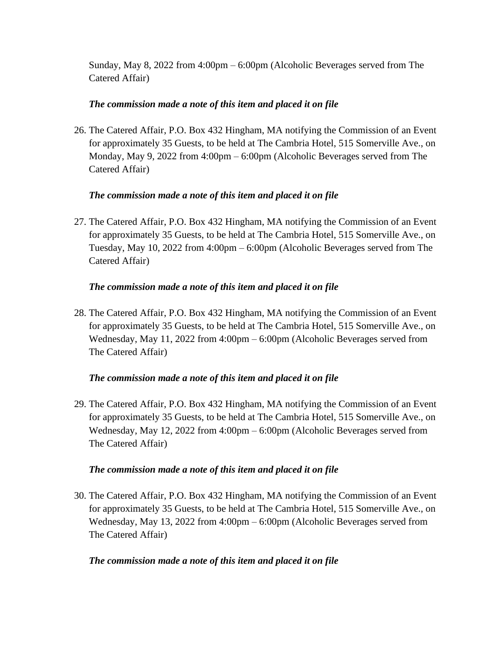Sunday, May 8, 2022 from 4:00pm – 6:00pm (Alcoholic Beverages served from The Catered Affair)

## *The commission made a note of this item and placed it on file*

26. The Catered Affair, P.O. Box 432 Hingham, MA notifying the Commission of an Event for approximately 35 Guests, to be held at The Cambria Hotel, 515 Somerville Ave., on Monday, May 9, 2022 from 4:00pm – 6:00pm (Alcoholic Beverages served from The Catered Affair)

## *The commission made a note of this item and placed it on file*

27. The Catered Affair, P.O. Box 432 Hingham, MA notifying the Commission of an Event for approximately 35 Guests, to be held at The Cambria Hotel, 515 Somerville Ave., on Tuesday, May 10, 2022 from 4:00pm – 6:00pm (Alcoholic Beverages served from The Catered Affair)

## *The commission made a note of this item and placed it on file*

28. The Catered Affair, P.O. Box 432 Hingham, MA notifying the Commission of an Event for approximately 35 Guests, to be held at The Cambria Hotel, 515 Somerville Ave., on Wednesday, May 11, 2022 from 4:00pm – 6:00pm (Alcoholic Beverages served from The Catered Affair)

### *The commission made a note of this item and placed it on file*

29. The Catered Affair, P.O. Box 432 Hingham, MA notifying the Commission of an Event for approximately 35 Guests, to be held at The Cambria Hotel, 515 Somerville Ave., on Wednesday, May 12, 2022 from 4:00pm – 6:00pm (Alcoholic Beverages served from The Catered Affair)

### *The commission made a note of this item and placed it on file*

30. The Catered Affair, P.O. Box 432 Hingham, MA notifying the Commission of an Event for approximately 35 Guests, to be held at The Cambria Hotel, 515 Somerville Ave., on Wednesday, May 13, 2022 from 4:00pm – 6:00pm (Alcoholic Beverages served from The Catered Affair)

# *The commission made a note of this item and placed it on file*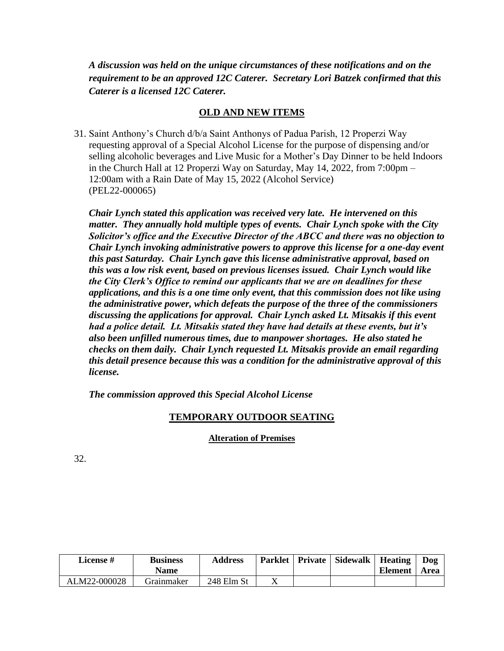*A discussion was held on the unique circumstances of these notifications and on the requirement to be an approved 12C Caterer. Secretary Lori Batzek confirmed that this Caterer is a licensed 12C Caterer.*

### **OLD AND NEW ITEMS**

31. Saint Anthony's Church d/b/a Saint Anthonys of Padua Parish, 12 Properzi Way requesting approval of a Special Alcohol License for the purpose of dispensing and/or selling alcoholic beverages and Live Music for a Mother's Day Dinner to be held Indoors in the Church Hall at 12 Properzi Way on Saturday, May 14, 2022, from 7:00pm – 12:00am with a Rain Date of May 15, 2022 (Alcohol Service) (PEL22-000065)

*Chair Lynch stated this application was received very late. He intervened on this matter. They annually hold multiple types of events. Chair Lynch spoke with the City Solicitor's office and the Executive Director of the ABCC and there was no objection to Chair Lynch invoking administrative powers to approve this license for a one-day event this past Saturday. Chair Lynch gave this license administrative approval, based on this was a low risk event, based on previous licenses issued. Chair Lynch would like the City Clerk's Office to remind our applicants that we are on deadlines for these applications, and this is a one time only event, that this commission does not like using the administrative power, which defeats the purpose of the three of the commissioners discussing the applications for approval. Chair Lynch asked Lt. Mitsakis if this event had a police detail. Lt. Mitsakis stated they have had details at these events, but it's also been unfilled numerous times, due to manpower shortages. He also stated he checks on them daily. Chair Lynch requested Lt. Mitsakis provide an email regarding this detail presence because this was a condition for the administrative approval of this license.*

*The commission approved this Special Alcohol License*

# **TEMPORARY OUTDOOR SEATING**

### **Alteration of Premises**

| <b>License</b> # | <b>Business</b> | <b>Address</b> | <b>Parklet</b> | <b>Private</b> | <b>Sidewalk</b> | <b>Heating</b> | Dog  |
|------------------|-----------------|----------------|----------------|----------------|-----------------|----------------|------|
|                  | <b>Name</b>     |                |                |                |                 | <b>Element</b> | Area |
| ALM22-000028     | Grainmaker      | 248 Elm St     |                |                |                 |                |      |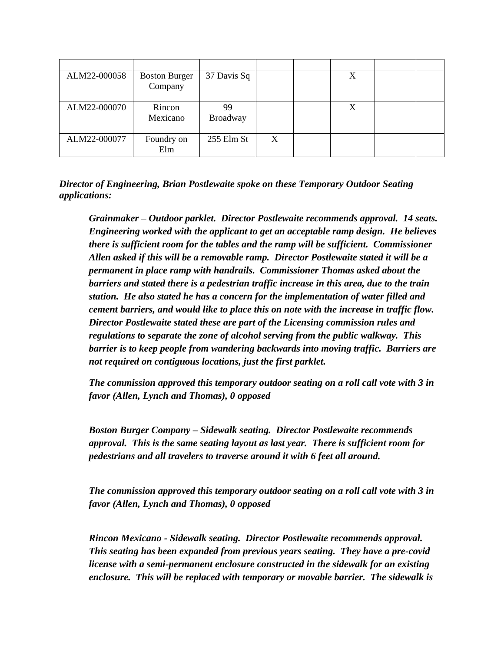| ALM22-000058 | <b>Boston Burger</b><br>Company | 37 Davis Sq           |   | X |  |
|--------------|---------------------------------|-----------------------|---|---|--|
| ALM22-000070 | Rincon<br>Mexicano              | 99<br><b>Broadway</b> |   | X |  |
| ALM22-000077 | Foundry on<br>Elm               | 255 Elm St            | X |   |  |

*Director of Engineering, Brian Postlewaite spoke on these Temporary Outdoor Seating applications:*

*Grainmaker – Outdoor parklet. Director Postlewaite recommends approval. 14 seats. Engineering worked with the applicant to get an acceptable ramp design. He believes there is sufficient room for the tables and the ramp will be sufficient. Commissioner Allen asked if this will be a removable ramp. Director Postlewaite stated it will be a permanent in place ramp with handrails. Commissioner Thomas asked about the barriers and stated there is a pedestrian traffic increase in this area, due to the train station. He also stated he has a concern for the implementation of water filled and cement barriers, and would like to place this on note with the increase in traffic flow. Director Postlewaite stated these are part of the Licensing commission rules and regulations to separate the zone of alcohol serving from the public walkway. This barrier is to keep people from wandering backwards into moving traffic. Barriers are not required on contiguous locations, just the first parklet.*

*The commission approved this temporary outdoor seating on a roll call vote with 3 in favor (Allen, Lynch and Thomas), 0 opposed* 

*Boston Burger Company – Sidewalk seating. Director Postlewaite recommends approval. This is the same seating layout as last year. There is sufficient room for pedestrians and all travelers to traverse around it with 6 feet all around.*

*The commission approved this temporary outdoor seating on a roll call vote with 3 in favor (Allen, Lynch and Thomas), 0 opposed* 

*Rincon Mexicano - Sidewalk seating. Director Postlewaite recommends approval. This seating has been expanded from previous years seating. They have a pre-covid license with a semi-permanent enclosure constructed in the sidewalk for an existing enclosure. This will be replaced with temporary or movable barrier. The sidewalk is*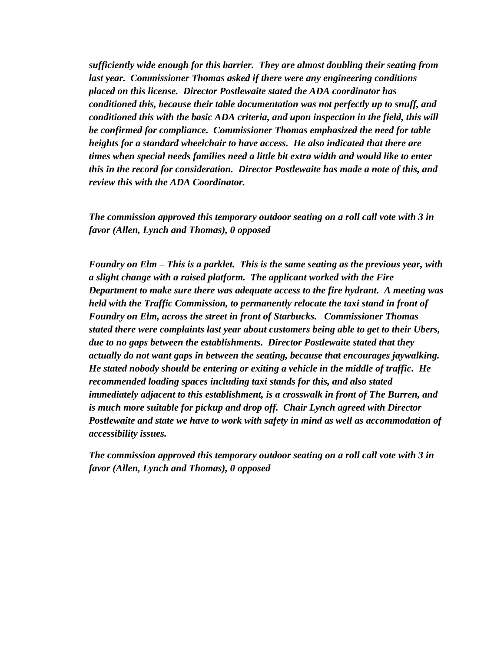*sufficiently wide enough for this barrier. They are almost doubling their seating from last year. Commissioner Thomas asked if there were any engineering conditions placed on this license. Director Postlewaite stated the ADA coordinator has conditioned this, because their table documentation was not perfectly up to snuff, and conditioned this with the basic ADA criteria, and upon inspection in the field, this will be confirmed for compliance. Commissioner Thomas emphasized the need for table heights for a standard wheelchair to have access. He also indicated that there are times when special needs families need a little bit extra width and would like to enter this in the record for consideration. Director Postlewaite has made a note of this, and review this with the ADA Coordinator.* 

*The commission approved this temporary outdoor seating on a roll call vote with 3 in favor (Allen, Lynch and Thomas), 0 opposed* 

*Foundry on Elm – This is a parklet. This is the same seating as the previous year, with a slight change with a raised platform. The applicant worked with the Fire Department to make sure there was adequate access to the fire hydrant. A meeting was held with the Traffic Commission, to permanently relocate the taxi stand in front of Foundry on Elm, across the street in front of Starbucks. Commissioner Thomas stated there were complaints last year about customers being able to get to their Ubers, due to no gaps between the establishments. Director Postlewaite stated that they actually do not want gaps in between the seating, because that encourages jaywalking. He stated nobody should be entering or exiting a vehicle in the middle of traffic. He recommended loading spaces including taxi stands for this, and also stated immediately adjacent to this establishment, is a crosswalk in front of The Burren, and is much more suitable for pickup and drop off. Chair Lynch agreed with Director Postlewaite and state we have to work with safety in mind as well as accommodation of accessibility issues.*

*The commission approved this temporary outdoor seating on a roll call vote with 3 in favor (Allen, Lynch and Thomas), 0 opposed*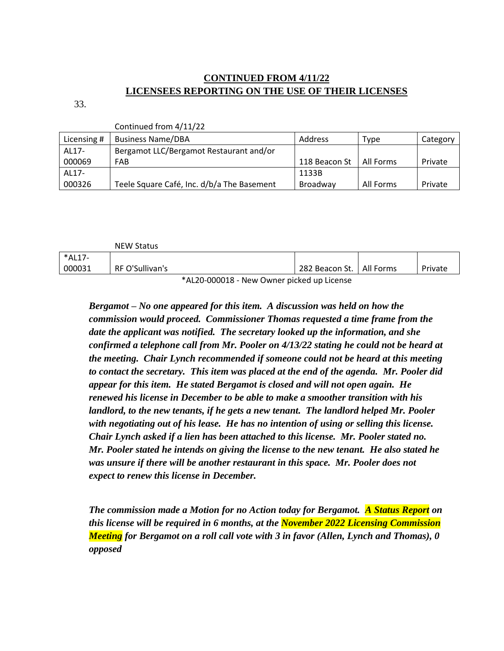# **CONTINUED FROM 4/11/22 LICENSEES REPORTING ON THE USE OF THEIR LICENSES**

33.

Continued from 4/11/22

|             | CONTINUED TION 4/11/22                     |                 |           |          |
|-------------|--------------------------------------------|-----------------|-----------|----------|
| Licensing # | <b>Business Name/DBA</b>                   | Address         | Type      | Category |
| AL17-       | Bergamot LLC/Bergamot Restaurant and/or    |                 |           |          |
| 000069      | FAB                                        | 118 Beacon St   | All Forms | Private  |
| AL17-       |                                            | 1133B           |           |          |
| 000326      | Teele Square Café, Inc. d/b/a The Basement | <b>Broadway</b> | All Forms | Private  |

|        | <b>NEW Status</b> |  |                            |         |
|--------|-------------------|--|----------------------------|---------|
| *AL17- |                   |  |                            |         |
| 000031 | RF O'Sullivan's   |  | 282 Beacon St.   All Forms | Private |
|        |                   |  |                            |         |

\*AL20-000018 - New Owner picked up License

*Bergamot – No one appeared for this item. A discussion was held on how the commission would proceed. Commissioner Thomas requested a time frame from the date the applicant was notified. The secretary looked up the information, and she confirmed a telephone call from Mr. Pooler on 4/13/22 stating he could not be heard at the meeting. Chair Lynch recommended if someone could not be heard at this meeting to contact the secretary. This item was placed at the end of the agenda. Mr. Pooler did appear for this item. He stated Bergamot is closed and will not open again. He renewed his license in December to be able to make a smoother transition with his landlord, to the new tenants, if he gets a new tenant. The landlord helped Mr. Pooler with negotiating out of his lease. He has no intention of using or selling this license. Chair Lynch asked if a lien has been attached to this license. Mr. Pooler stated no. Mr. Pooler stated he intends on giving the license to the new tenant. He also stated he was unsure if there will be another restaurant in this space. Mr. Pooler does not expect to renew this license in December.*

*The commission made a Motion for no Action today for Bergamot. A Status Report on this license will be required in 6 months, at the November 2022 Licensing Commission Meeting for Bergamot on a roll call vote with 3 in favor (Allen, Lynch and Thomas), 0 opposed*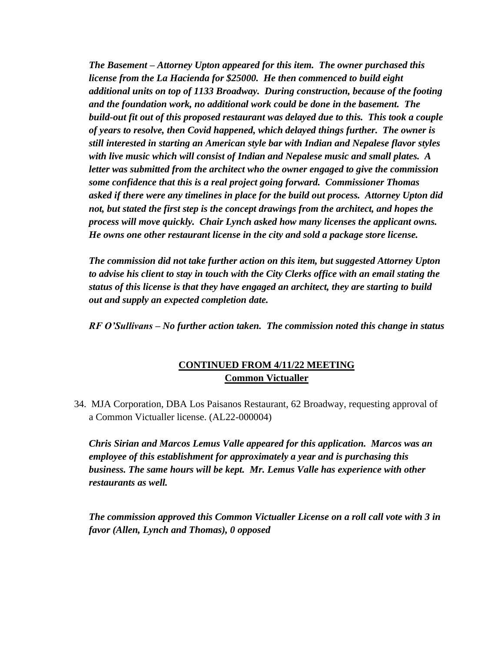*The Basement – Attorney Upton appeared for this item. The owner purchased this license from the La Hacienda for \$25000. He then commenced to build eight additional units on top of 1133 Broadway. During construction, because of the footing and the foundation work, no additional work could be done in the basement. The build-out fit out of this proposed restaurant was delayed due to this. This took a couple of years to resolve, then Covid happened, which delayed things further. The owner is still interested in starting an American style bar with Indian and Nepalese flavor styles with live music which will consist of Indian and Nepalese music and small plates. A letter was submitted from the architect who the owner engaged to give the commission some confidence that this is a real project going forward. Commissioner Thomas asked if there were any timelines in place for the build out process. Attorney Upton did not, but stated the first step is the concept drawings from the architect, and hopes the process will move quickly. Chair Lynch asked how many licenses the applicant owns. He owns one other restaurant license in the city and sold a package store license.* 

*The commission did not take further action on this item, but suggested Attorney Upton to advise his client to stay in touch with the City Clerks office with an email stating the status of this license is that they have engaged an architect, they are starting to build out and supply an expected completion date.*

*RF O'Sullivans – No further action taken. The commission noted this change in status*

# **CONTINUED FROM 4/11/22 MEETING Common Victualler**

34. MJA Corporation, DBA Los Paisanos Restaurant, 62 Broadway, requesting approval of a Common Victualler license. (AL22-000004)

*Chris Sirian and Marcos Lemus Valle appeared for this application. Marcos was an employee of this establishment for approximately a year and is purchasing this business. The same hours will be kept. Mr. Lemus Valle has experience with other restaurants as well.*

*The commission approved this Common Victualler License on a roll call vote with 3 in favor (Allen, Lynch and Thomas), 0 opposed*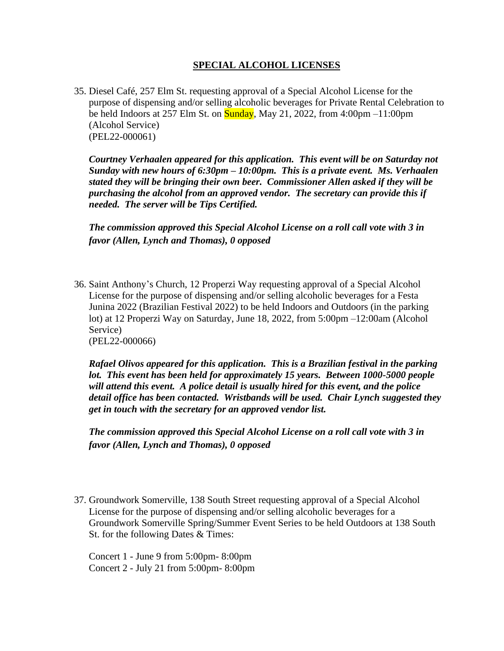### **SPECIAL ALCOHOL LICENSES**

35. Diesel Café, 257 Elm St. requesting approval of a Special Alcohol License for the purpose of dispensing and/or selling alcoholic beverages for Private Rental Celebration to be held Indoors at 257 Elm St. on  $\overline{\text{Sunday}}$ , May 21, 2022, from 4:00pm –11:00pm (Alcohol Service) (PEL22-000061)

*Courtney Verhaalen appeared for this application. This event will be on Saturday not Sunday with new hours of 6:30pm – 10:00pm. This is a private event. Ms. Verhaalen stated they will be bringing their own beer. Commissioner Allen asked if they will be purchasing the alcohol from an approved vendor. The secretary can provide this if needed. The server will be Tips Certified.* 

*The commission approved this Special Alcohol License on a roll call vote with 3 in favor (Allen, Lynch and Thomas), 0 opposed* 

36. Saint Anthony's Church, 12 Properzi Way requesting approval of a Special Alcohol License for the purpose of dispensing and/or selling alcoholic beverages for a Festa Junina 2022 (Brazilian Festival 2022) to be held Indoors and Outdoors (in the parking lot) at 12 Properzi Way on Saturday, June 18, 2022, from 5:00pm –12:00am (Alcohol Service) (PEL22-000066)

*Rafael Olivos appeared for this application. This is a Brazilian festival in the parking lot. This event has been held for approximately 15 years. Between 1000-5000 people will attend this event. A police detail is usually hired for this event, and the police detail office has been contacted. Wristbands will be used. Chair Lynch suggested they get in touch with the secretary for an approved vendor list.*

*The commission approved this Special Alcohol License on a roll call vote with 3 in favor (Allen, Lynch and Thomas), 0 opposed* 

37. Groundwork Somerville, 138 South Street requesting approval of a Special Alcohol License for the purpose of dispensing and/or selling alcoholic beverages for a Groundwork Somerville Spring/Summer Event Series to be held Outdoors at 138 South St. for the following Dates & Times:

Concert 1 - June 9 from 5:00pm- 8:00pm Concert 2 - July 21 from 5:00pm- 8:00pm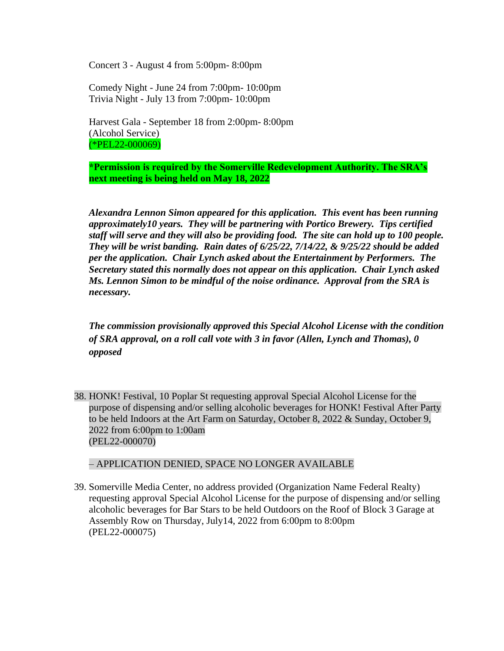Concert 3 - August 4 from 5:00pm- 8:00pm

Comedy Night - June 24 from 7:00pm- 10:00pm Trivia Night - July 13 from 7:00pm- 10:00pm

Harvest Gala - September 18 from 2:00pm- 8:00pm (Alcohol Service) (\*PEL22-000069)

**\*Permission is required by the Somerville Redevelopment Authority. The SRA's next meeting is being held on May 18, 2022**

*Alexandra Lennon Simon appeared for this application. This event has been running approximately10 years. They will be partnering with Portico Brewery. Tips certified staff will serve and they will also be providing food. The site can hold up to 100 people. They will be wrist banding. Rain dates of 6/25/22, 7/14/22, & 9/25/22 should be added per the application. Chair Lynch asked about the Entertainment by Performers. The Secretary stated this normally does not appear on this application. Chair Lynch asked Ms. Lennon Simon to be mindful of the noise ordinance. Approval from the SRA is necessary.*

*The commission provisionally approved this Special Alcohol License with the condition of SRA approval, on a roll call vote with 3 in favor (Allen, Lynch and Thomas), 0 opposed* 

38. HONK! Festival, 10 Poplar St requesting approval Special Alcohol License for the purpose of dispensing and/or selling alcoholic beverages for HONK! Festival After Party to be held Indoors at the Art Farm on Saturday, October 8, 2022 & Sunday, October 9, 2022 from 6:00pm to 1:00am (PEL22-000070)

#### – APPLICATION DENIED, SPACE NO LONGER AVAILABLE

39. Somerville Media Center, no address provided (Organization Name Federal Realty) requesting approval Special Alcohol License for the purpose of dispensing and/or selling alcoholic beverages for Bar Stars to be held Outdoors on the Roof of Block 3 Garage at Assembly Row on Thursday, July14, 2022 from 6:00pm to 8:00pm (PEL22-000075)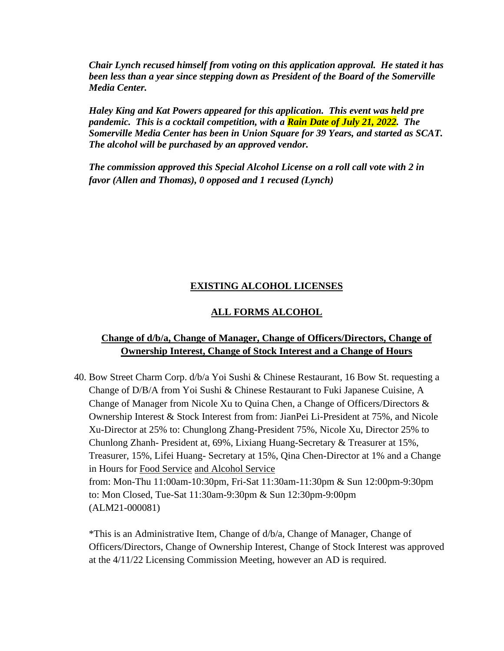*Chair Lynch recused himself from voting on this application approval. He stated it has been less than a year since stepping down as President of the Board of the Somerville Media Center.*

*Haley King and Kat Powers appeared for this application. This event was held pre pandemic. This is a cocktail competition, with a Rain Date of July 21, 2022. The Somerville Media Center has been in Union Square for 39 Years, and started as SCAT. The alcohol will be purchased by an approved vendor.* 

*The commission approved this Special Alcohol License on a roll call vote with 2 in favor (Allen and Thomas), 0 opposed and 1 recused (Lynch)*

## **EXISTING ALCOHOL LICENSES**

### **ALL FORMS ALCOHOL**

## **Change of d/b/a, Change of Manager, Change of Officers/Directors, Change of Ownership Interest, Change of Stock Interest and a Change of Hours**

40. Bow Street Charm Corp. d/b/a Yoi Sushi & Chinese Restaurant, 16 Bow St. requesting a Change of D/B/A from Yoi Sushi & Chinese Restaurant to Fuki Japanese Cuisine, A Change of Manager from Nicole Xu to Quina Chen, a Change of Officers/Directors & Ownership Interest & Stock Interest from from: JianPei Li-President at 75%, and Nicole Xu-Director at 25% to: Chunglong Zhang-President 75%, Nicole Xu, Director 25% to Chunlong Zhanh- President at, 69%, Lixiang Huang-Secretary & Treasurer at 15%, Treasurer, 15%, Lifei Huang- Secretary at 15%, Qina Chen-Director at 1% and a Change in Hours for Food Service and Alcohol Service from: Mon-Thu 11:00am-10:30pm, Fri-Sat 11:30am-11:30pm & Sun 12:00pm-9:30pm to: Mon Closed, Tue-Sat 11:30am-9:30pm & Sun 12:30pm-9:00pm (ALM21-000081)

\*This is an Administrative Item, Change of d/b/a, Change of Manager, Change of Officers/Directors, Change of Ownership Interest, Change of Stock Interest was approved at the 4/11/22 Licensing Commission Meeting, however an AD is required.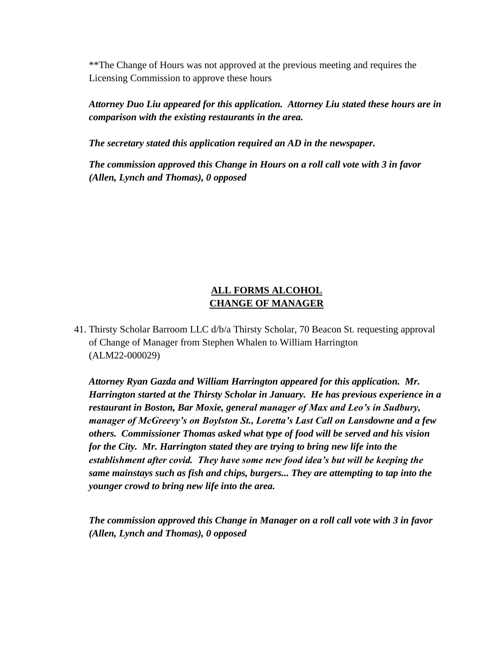\*\*The Change of Hours was not approved at the previous meeting and requires the Licensing Commission to approve these hours

*Attorney Duo Liu appeared for this application. Attorney Liu stated these hours are in comparison with the existing restaurants in the area.* 

*The secretary stated this application required an AD in the newspaper.*

*The commission approved this Change in Hours on a roll call vote with 3 in favor (Allen, Lynch and Thomas), 0 opposed* 

# **ALL FORMS ALCOHOL CHANGE OF MANAGER**

41. Thirsty Scholar Barroom LLC d/b/a Thirsty Scholar, 70 Beacon St. requesting approval of Change of Manager from Stephen Whalen to William Harrington (ALM22-000029)

*Attorney Ryan Gazda and William Harrington appeared for this application. Mr. Harrington started at the Thirsty Scholar in January. He has previous experience in a restaurant in Boston, Bar Moxie, general manager of Max and Leo's in Sudbury, manager of McGreevy's on Boylston St., Loretta's Last Call on Lansdowne and a few others. Commissioner Thomas asked what type of food will be served and his vision for the City. Mr. Harrington stated they are trying to bring new life into the establishment after covid. They have some new food idea's but will be keeping the same mainstays such as fish and chips, burgers... They are attempting to tap into the younger crowd to bring new life into the area.*

*The commission approved this Change in Manager on a roll call vote with 3 in favor (Allen, Lynch and Thomas), 0 opposed*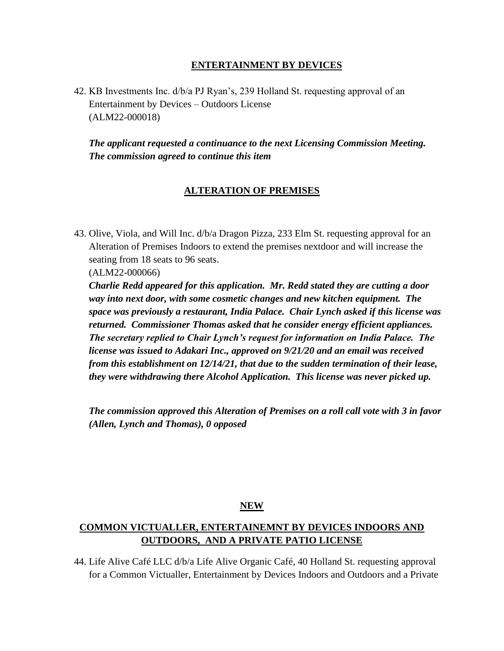### **ENTERTAINMENT BY DEVICES**

42. KB Investments Inc. d/b/a PJ Ryan's, 239 Holland St. requesting approval of an Entertainment by Devices – Outdoors License (ALM22-000018)

*The applicant requested a continuance to the next Licensing Commission Meeting. The commission agreed to continue this item*

### **ALTERATION OF PREMISES**

43. Olive, Viola, and Will Inc. d/b/a Dragon Pizza, 233 Elm St. requesting approval for an Alteration of Premises Indoors to extend the premises nextdoor and will increase the seating from 18 seats to 96 seats.

(ALM22-000066)

*Charlie Redd appeared for this application. Mr. Redd stated they are cutting a door way into next door, with some cosmetic changes and new kitchen equipment. The space was previously a restaurant, India Palace. Chair Lynch asked if this license was returned. Commissioner Thomas asked that he consider energy efficient appliances. The secretary replied to Chair Lynch's request for information on India Palace. The license was issued to Adakari Inc., approved on 9/21/20 and an email was received from this establishment on 12/14/21, that due to the sudden termination of their lease, they were withdrawing there Alcohol Application. This license was never picked up.* 

*The commission approved this Alteration of Premises on a roll call vote with 3 in favor (Allen, Lynch and Thomas), 0 opposed* 

#### **NEW**

# **COMMON VICTUALLER, ENTERTAINEMNT BY DEVICES INDOORS AND OUTDOORS, AND A PRIVATE PATIO LICENSE**

44. Life Alive Café LLC d/b/a Life Alive Organic Café, 40 Holland St. requesting approval for a Common Victualler, Entertainment by Devices Indoors and Outdoors and a Private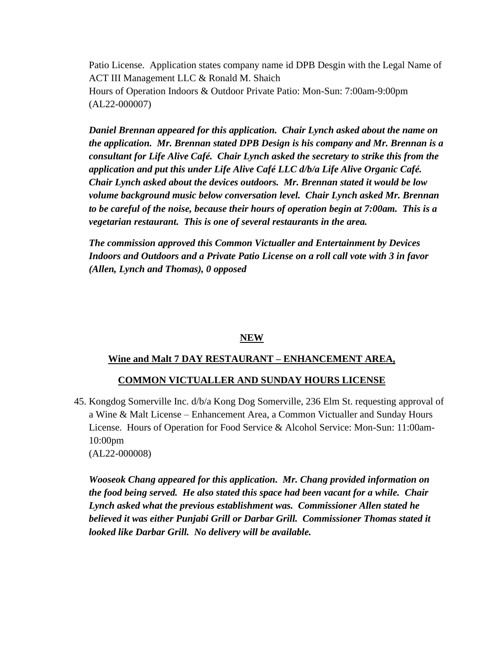Patio License. Application states company name id DPB Desgin with the Legal Name of ACT III Management LLC & Ronald M. Shaich Hours of Operation Indoors & Outdoor Private Patio: Mon-Sun: 7:00am-9:00pm (AL22-000007)

*Daniel Brennan appeared for this application. Chair Lynch asked about the name on the application. Mr. Brennan stated DPB Design is his company and Mr. Brennan is a consultant for Life Alive Café. Chair Lynch asked the secretary to strike this from the application and put this under Life Alive Café LLC d/b/a Life Alive Organic Café. Chair Lynch asked about the devices outdoors. Mr. Brennan stated it would be low volume background music below conversation level. Chair Lynch asked Mr. Brennan to be careful of the noise, because their hours of operation begin at 7:00am. This is a vegetarian restaurant. This is one of several restaurants in the area.*

*The commission approved this Common Victualler and Entertainment by Devices Indoors and Outdoors and a Private Patio License on a roll call vote with 3 in favor (Allen, Lynch and Thomas), 0 opposed* 

#### **NEW**

### **Wine and Malt 7 DAY RESTAURANT – ENHANCEMENT AREA,**

### **COMMON VICTUALLER AND SUNDAY HOURS LICENSE**

45. Kongdog Somerville Inc. d/b/a Kong Dog Somerville, 236 Elm St. requesting approval of a Wine & Malt License – Enhancement Area, a Common Victualler and Sunday Hours License. Hours of Operation for Food Service & Alcohol Service: Mon-Sun: 11:00am-10:00pm (AL22-000008)

*Wooseok Chang appeared for this application. Mr. Chang provided information on the food being served. He also stated this space had been vacant for a while. Chair Lynch asked what the previous establishment was. Commissioner Allen stated he believed it was either Punjabi Grill or Darbar Grill. Commissioner Thomas stated it looked like Darbar Grill. No delivery will be available.*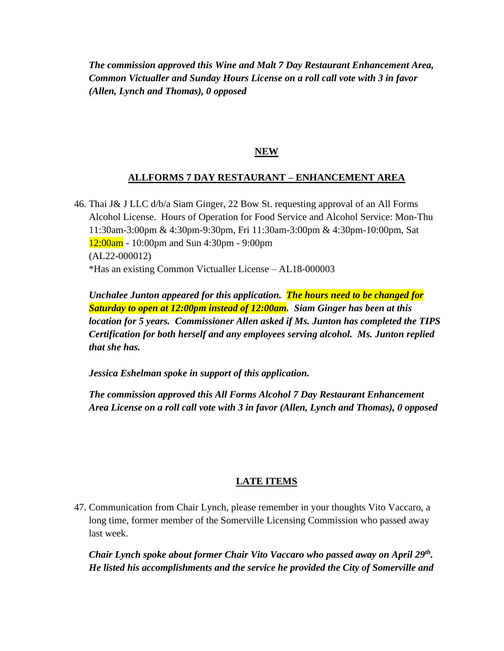*The commission approved this Wine and Malt 7 Day Restaurant Enhancement Area, Common Victualler and Sunday Hours License on a roll call vote with 3 in favor (Allen, Lynch and Thomas), 0 opposed* 

## **NEW**

## **ALLFORMS 7 DAY RESTAURANT – ENHANCEMENT AREA**

46. Thai J& J LLC d/b/a Siam Ginger, 22 Bow St. requesting approval of an All Forms Alcohol License. Hours of Operation for Food Service and Alcohol Service: Mon-Thu 11:30am-3:00pm & 4:30pm-9:30pm, Fri 11:30am-3:00pm & 4:30pm-10:00pm, Sat 12:00am - 10:00pm and Sun 4:30pm - 9:00pm (AL22-000012) \*Has an existing Common Victualler License – AL18-000003

*Unchalee Junton appeared for this application. The hours need to be changed for Saturday to open at 12:00pm instead of 12:00am. Siam Ginger has been at this location for 5 years. Commissioner Allen asked if Ms. Junton has completed the TIPS Certification for both herself and any employees serving alcohol. Ms. Junton replied that she has.*

*Jessica Eshelman spoke in support of this application.*

*The commission approved this All Forms Alcohol 7 Day Restaurant Enhancement Area License on a roll call vote with 3 in favor (Allen, Lynch and Thomas), 0 opposed* 

# **LATE ITEMS**

47. Communication from Chair Lynch, please remember in your thoughts Vito Vaccaro, a long time, former member of the Somerville Licensing Commission who passed away last week.

*Chair Lynch spoke about former Chair Vito Vaccaro who passed away on April 29th . He listed his accomplishments and the service he provided the City of Somerville and*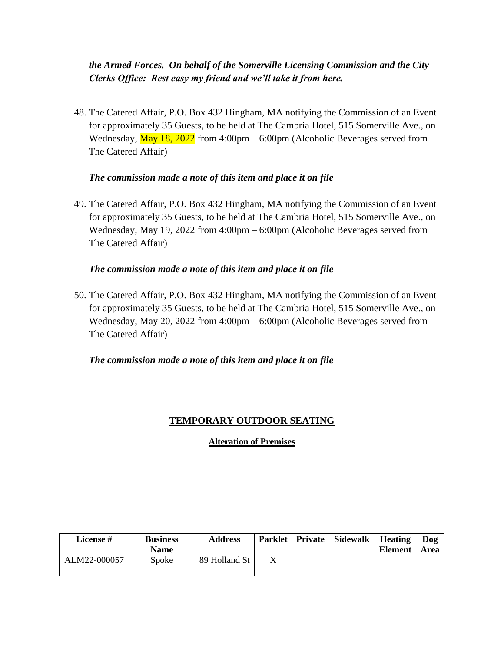# *the Armed Forces. On behalf of the Somerville Licensing Commission and the City Clerks Office: Rest easy my friend and we'll take it from here.*

48. The Catered Affair, P.O. Box 432 Hingham, MA notifying the Commission of an Event for approximately 35 Guests, to be held at The Cambria Hotel, 515 Somerville Ave., on Wednesday,  $\frac{\text{May }18, 2022}{\text{from }4:00 \text{pm} - 6:00 \text{pm}}$  (Alcoholic Beverages served from The Catered Affair)

### *The commission made a note of this item and place it on file*

49. The Catered Affair, P.O. Box 432 Hingham, MA notifying the Commission of an Event for approximately 35 Guests, to be held at The Cambria Hotel, 515 Somerville Ave., on Wednesday, May 19, 2022 from 4:00pm – 6:00pm (Alcoholic Beverages served from The Catered Affair)

### *The commission made a note of this item and place it on file*

50. The Catered Affair, P.O. Box 432 Hingham, MA notifying the Commission of an Event for approximately 35 Guests, to be held at The Cambria Hotel, 515 Somerville Ave., on Wednesday, May 20, 2022 from 4:00pm – 6:00pm (Alcoholic Beverages served from The Catered Affair)

*The commission made a note of this item and place it on file*

### **TEMPORARY OUTDOOR SEATING**

**Alteration of Premises**

| License #    | <b>Business</b><br><b>Name</b> | <b>Address</b> |  | Parklet   Private   Sidewalk | Heating<br><b>Element</b> | Dog<br>Area |
|--------------|--------------------------------|----------------|--|------------------------------|---------------------------|-------------|
| ALM22-000057 | Spoke                          | 89 Holland St  |  |                              |                           |             |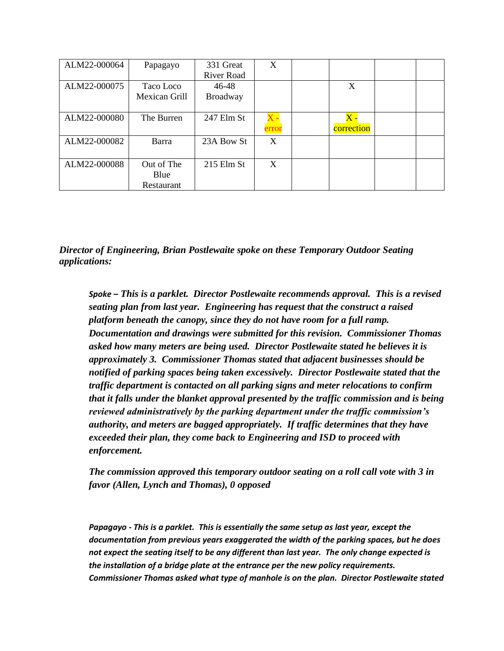| ALM22-000064 | Papagayo           | 331 Great<br>River Road | X     |                             |  |
|--------------|--------------------|-------------------------|-------|-----------------------------|--|
| ALM22-000075 | Taco Loco          | 46-48                   |       | X                           |  |
|              | Mexican Grill      | <b>Broadway</b>         |       |                             |  |
| ALM22-000080 | The Burren         | 247 Elm St              | error | $\mathbf X$ .<br>correction |  |
| ALM22-000082 | Barra              | 23A Bow St              | X     |                             |  |
| ALM22-000088 | Out of The         | $215$ Elm St            | X     |                             |  |
|              | Blue<br>Restaurant |                         |       |                             |  |

*Director of Engineering, Brian Postlewaite spoke on these Temporary Outdoor Seating applications:*

*Spoke – This is a parklet. Director Postlewaite recommends approval. This is a revised seating plan from last year. Engineering has request that the construct a raised platform beneath the canopy, since they do not have room for a full ramp. Documentation and drawings were submitted for this revision. Commissioner Thomas asked how many meters are being used. Director Postlewaite stated he believes it is approximately 3. Commissioner Thomas stated that adjacent businesses should be notified of parking spaces being taken excessively. Director Postlewaite stated that the traffic department is contacted on all parking signs and meter relocations to confirm that it falls under the blanket approval presented by the traffic commission and is being reviewed administratively by the parking department under the traffic commission's authority, and meters are bagged appropriately. If traffic determines that they have exceeded their plan, they come back to Engineering and ISD to proceed with enforcement.*

*The commission approved this temporary outdoor seating on a roll call vote with 3 in favor (Allen, Lynch and Thomas), 0 opposed* 

*Papagayo - This is a parklet. This is essentially the same setup as last year, except the documentation from previous years exaggerated the width of the parking spaces, but he does not expect the seating itself to be any different than last year. The only change expected is the installation of a bridge plate at the entrance per the new policy requirements. Commissioner Thomas asked what type of manhole is on the plan. Director Postlewaite stated*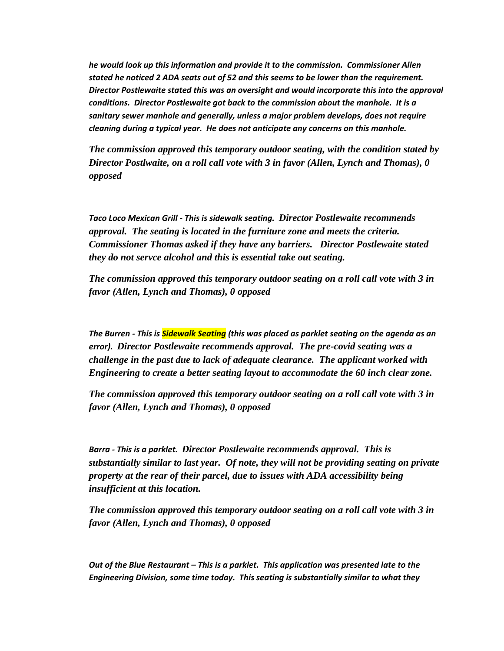*he would look up this information and provide it to the commission. Commissioner Allen stated he noticed 2 ADA seats out of 52 and this seems to be lower than the requirement. Director Postlewaite stated this was an oversight and would incorporate this into the approval conditions. Director Postlewaite got back to the commission about the manhole. It is a sanitary sewer manhole and generally, unless a major problem develops, does not require cleaning during a typical year. He does not anticipate any concerns on this manhole.*

*The commission approved this temporary outdoor seating, with the condition stated by Director Postlwaite, on a roll call vote with 3 in favor (Allen, Lynch and Thomas), 0 opposed* 

*Taco Loco Mexican Grill - This is sidewalk seating. Director Postlewaite recommends approval. The seating is located in the furniture zone and meets the criteria. Commissioner Thomas asked if they have any barriers. Director Postlewaite stated they do not servce alcohol and this is essential take out seating.*

*The commission approved this temporary outdoor seating on a roll call vote with 3 in favor (Allen, Lynch and Thomas), 0 opposed* 

*The Burren - This is Sidewalk Seating (this was placed as parklet seating on the agenda as an error). Director Postlewaite recommends approval. The pre-covid seating was a challenge in the past due to lack of adequate clearance. The applicant worked with Engineering to create a better seating layout to accommodate the 60 inch clear zone.*

*The commission approved this temporary outdoor seating on a roll call vote with 3 in favor (Allen, Lynch and Thomas), 0 opposed* 

*Barra - This is a parklet. Director Postlewaite recommends approval. This is substantially similar to last year. Of note, they will not be providing seating on private property at the rear of their parcel, due to issues with ADA accessibility being insufficient at this location.*

*The commission approved this temporary outdoor seating on a roll call vote with 3 in favor (Allen, Lynch and Thomas), 0 opposed* 

*Out of the Blue Restaurant – This is a parklet. This application was presented late to the Engineering Division, some time today. This seating is substantially similar to what they*